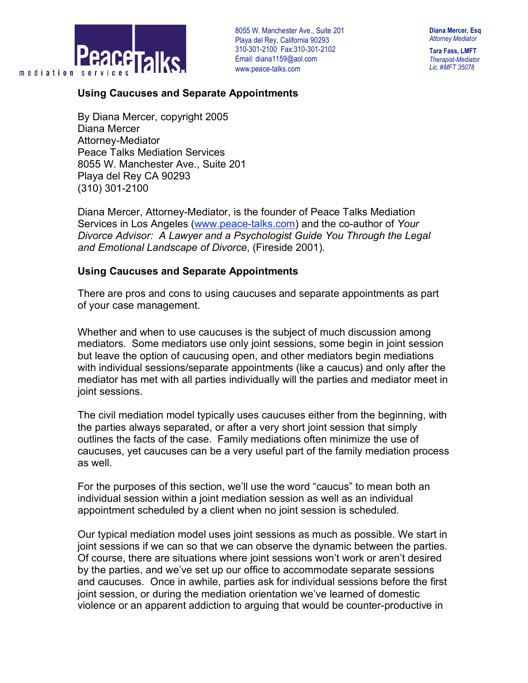

**Diana Mercer, Esq** *Attorney Mediator*

**Tara Fass, LMFT** *Therapist-Mediator Lic. #MFT 35078*

## **Using Caucuses and Separate Appointments**

By Diana Mercer, copyright 2005 Diana Mercer Attorney-Mediator Peace Talks Mediation Services 8055 W. Manchester Ave., Suite 201 Playa del Rey CA 90293 (310) 301-2100

Diana Mercer, Attorney-Mediator, is the founder of Peace Talks Mediation Services in Los Angeles (www.peace-talks.com) and the co-author of *Your Divorce Advisor: A Lawyer and a Psychologist Guide You Through the Legal and Emotional Landscape of Divorce*, (Fireside 2001)*.*

## **Using Caucuses and Separate Appointments**

There are pros and cons to using caucuses and separate appointments as part of your case management.

Whether and when to use caucuses is the subject of much discussion among mediators. Some mediators use only joint sessions, some begin in joint session but leave the option of caucusing open, and other mediators begin mediations with individual sessions/separate appointments (like a caucus) and only after the mediator has met with all parties individually will the parties and mediator meet in joint sessions.

The civil mediation model typically uses caucuses either from the beginning, with the parties always separated, or after a very short joint session that simply outlines the facts of the case. Family mediations often minimize the use of caucuses, yet caucuses can be a very useful part of the family mediation process as well.

For the purposes of this section, we'll use the word "caucus" to mean both an individual session within a joint mediation session as well as an individual appointment scheduled by a client when no joint session is scheduled.

Our typical mediation model uses joint sessions as much as possible. We start in joint sessions if we can so that we can observe the dynamic between the parties. Of course, there are situations where joint sessions won't work or aren't desired by the parties, and we've set up our office to accommodate separate sessions and caucuses. Once in awhile, parties ask for individual sessions before the first joint session, or during the mediation orientation we've learned of domestic violence or an apparent addiction to arguing that would be counter-productive in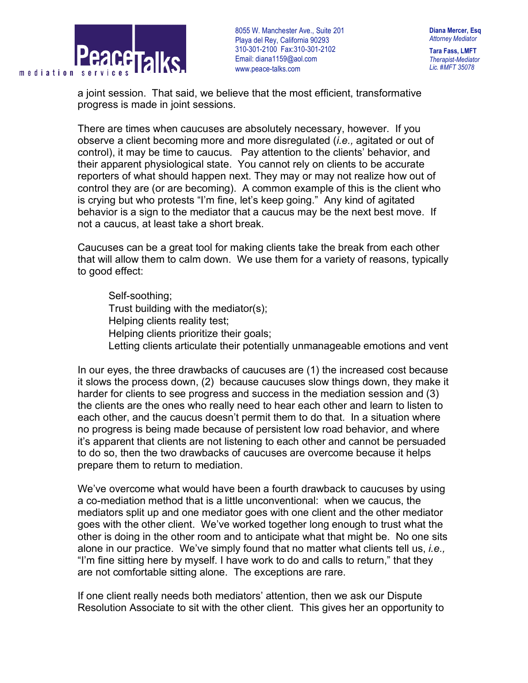

**Diana Mercer, Esq** *Attorney Mediator*

**Tara Fass, LMFT** *Therapist-Mediator Lic. #MFT 35078*

a joint session. That said, we believe that the most efficient, transformative progress is made in joint sessions.

There are times when caucuses are absolutely necessary, however. If you observe a client becoming more and more disregulated (*i.e.,* agitated or out of control), it may be time to caucus. Pay attention to the clients' behavior, and their apparent physiological state. You cannot rely on clients to be accurate reporters of what should happen next. They may or may not realize how out of control they are (or are becoming). A common example of this is the client who is crying but who protests "I'm fine, let's keep going." Any kind of agitated behavior is a sign to the mediator that a caucus may be the next best move. If not a caucus, at least take a short break.

Caucuses can be a great tool for making clients take the break from each other that will allow them to calm down. We use them for a variety of reasons, typically to good effect:

 Self-soothing; Trust building with the mediator(s); Helping clients reality test; Helping clients prioritize their goals; Letting clients articulate their potentially unmanageable emotions and vent

In our eyes, the three drawbacks of caucuses are (1) the increased cost because it slows the process down, (2) because caucuses slow things down, they make it harder for clients to see progress and success in the mediation session and (3) the clients are the ones who really need to hear each other and learn to listen to each other, and the caucus doesn't permit them to do that. In a situation where no progress is being made because of persistent low road behavior, and where it's apparent that clients are not listening to each other and cannot be persuaded to do so, then the two drawbacks of caucuses are overcome because it helps prepare them to return to mediation.

We've overcome what would have been a fourth drawback to caucuses by using a co-mediation method that is a little unconventional: when we caucus, the mediators split up and one mediator goes with one client and the other mediator goes with the other client. We've worked together long enough to trust what the other is doing in the other room and to anticipate what that might be. No one sits alone in our practice. We've simply found that no matter what clients tell us, *i.e.,* "I'm fine sitting here by myself. I have work to do and calls to return," that they are not comfortable sitting alone. The exceptions are rare.

If one client really needs both mediators' attention, then we ask our Dispute Resolution Associate to sit with the other client. This gives her an opportunity to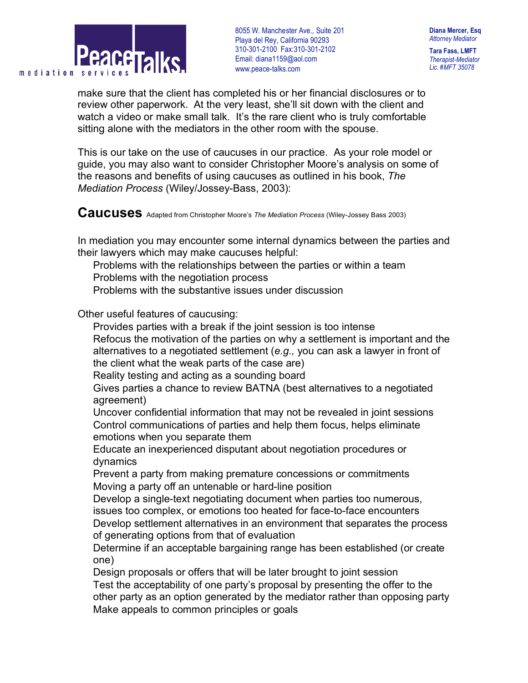

**Diana Mercer, Esq** *Attorney Mediator*

**Tara Fass, LMFT** *Therapist-Mediator Lic. #MFT 35078*

make sure that the client has completed his or her financial disclosures or to review other paperwork. At the very least, she'll sit down with the client and watch a video or make small talk. It's the rare client who is truly comfortable sitting alone with the mediators in the other room with the spouse.

This is our take on the use of caucuses in our practice. As your role model or guide, you may also want to consider Christopher Moore's analysis on some of the reasons and benefits of using caucuses as outlined in his book, *The Mediation Process* (Wiley/Jossey-Bass, 2003):

**Caucuses** Adapted from Christopher Moore's *The Mediation Process* (Wiley-Jossey Bass 2003)

In mediation you may encounter some internal dynamics between the parties and their lawyers which may make caucuses helpful:

 Problems with the relationships between the parties or within a team Problems with the negotiation process

Problems with the substantive issues under discussion

Other useful features of caucusing:

Provides parties with a break if the joint session is too intense

 Refocus the motivation of the parties on why a settlement is important and the alternatives to a negotiated settlement (*e.g.,* you can ask a lawyer in front of the client what the weak parts of the case are)

Reality testing and acting as a sounding board

 Gives parties a chance to review BATNA (best alternatives to a negotiated agreement)

 Uncover confidential information that may not be revealed in joint sessions Control communications of parties and help them focus, helps eliminate emotions when you separate them

 Educate an inexperienced disputant about negotiation procedures or dynamics

 Prevent a party from making premature concessions or commitments Moving a party off an untenable or hard-line position

 Develop a single-text negotiating document when parties too numerous, issues too complex, or emotions too heated for face-to-face encounters

 Develop settlement alternatives in an environment that separates the process of generating options from that of evaluation

 Determine if an acceptable bargaining range has been established (or create one)

 Design proposals or offers that will be later brought to joint session Test the acceptability of one party's proposal by presenting the offer to the other party as an option generated by the mediator rather than opposing party Make appeals to common principles or goals